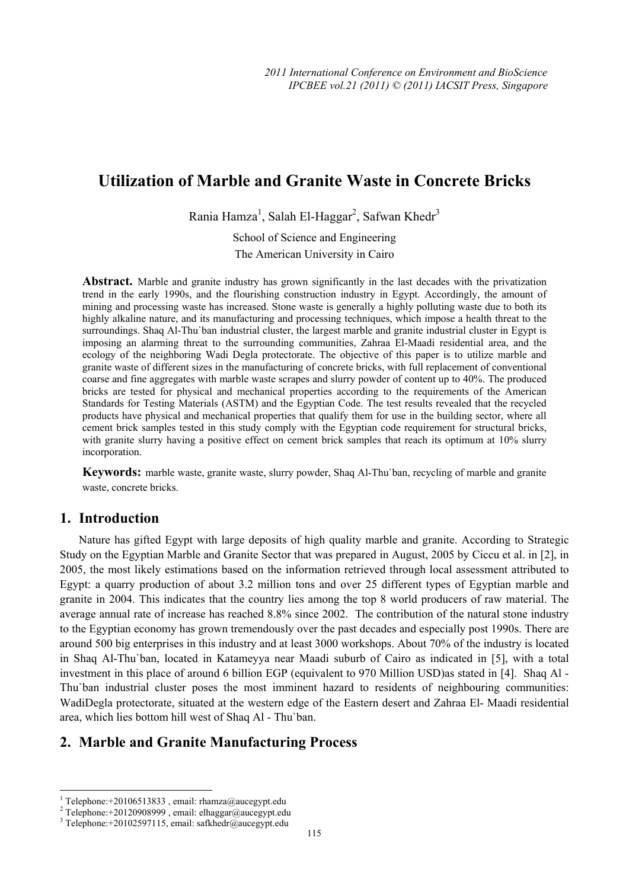# **Utilization of Marble and Granite Waste in Concrete Bricks**

Rania Hamza<sup>1</sup>, Salah El-Haggar<sup>2</sup>, Safwan Khedr<sup>3</sup>

School of Science and Engineering The American University in Cairo

**Abstract.** Marble and granite industry has grown significantly in the last decades with the privatization trend in the early 1990s, and the flourishing construction industry in Egypt. Accordingly, the amount of mining and processing waste has increased. Stone waste is generally a highly polluting waste due to both its highly alkaline nature, and its manufacturing and processing techniques, which impose a health threat to the surroundings. Shaq Al-Thu`ban industrial cluster, the largest marble and granite industrial cluster in Egypt is imposing an alarming threat to the surrounding communities, Zahraa El-Maadi residential area, and the ecology of the neighboring Wadi Degla protectorate. The objective of this paper is to utilize marble and granite waste of different sizes in the manufacturing of concrete bricks, with full replacement of conventional coarse and fine aggregates with marble waste scrapes and slurry powder of content up to 40%. The produced bricks are tested for physical and mechanical properties according to the requirements of the American Standards for Testing Materials (ASTM) and the Egyptian Code. The test results revealed that the recycled products have physical and mechanical properties that qualify them for use in the building sector, where all cement brick samples tested in this study comply with the Egyptian code requirement for structural bricks, with granite slurry having a positive effect on cement brick samples that reach its optimum at 10% slurry incorporation.

**Keywords:** marble waste, granite waste, slurry powder, Shaq Al-Thu`ban, recycling of marble and granite waste, concrete bricks.

## **1. Introduction**

 $\overline{a}$ 

Nature has gifted Egypt with large deposits of high quality marble and granite. According to Strategic Study on the Egyptian Marble and Granite Sector that was prepared in August, 2005 by Ciccu et al. in [2], in 2005, the most likely estimations based on the information retrieved through local assessment attributed to Egypt: a quarry production of about 3.2 million tons and over 25 different types of Egyptian marble and granite in 2004. This indicates that the country lies among the top 8 world producers of raw material. The average annual rate of increase has reached 8.8% since 2002. The contribution of the natural stone industry to the Egyptian economy has grown tremendously over the past decades and especially post 1990s. There are around 500 big enterprises in this industry and at least 3000 workshops. About 70% of the industry is located in Shaq Al-Thu`ban, located in Katameyya near Maadi suburb of Cairo as indicated in [5], with a total investment in this place of around 6 billion EGP (equivalent to 970 Million USD)as stated in [4]. Shaq Al - Thu`ban industrial cluster poses the most imminent hazard to residents of neighbouring communities: WadiDegla protectorate, situated at the western edge of the Eastern desert and Zahraa El- Maadi residential area, which lies bottom hill west of Shaq Al - Thu`ban.

## **2. Marble and Granite Manufacturing Process**

<sup>1</sup> Telephone:+20106513833 , email: rhamza@aucegypt.edu 2

<sup>&</sup>lt;sup>2</sup> Telephone: +20120908999, email: elhaggar@aucegypt.edu

Telephone:+20102597115, email: safkhedr@aucegypt.edu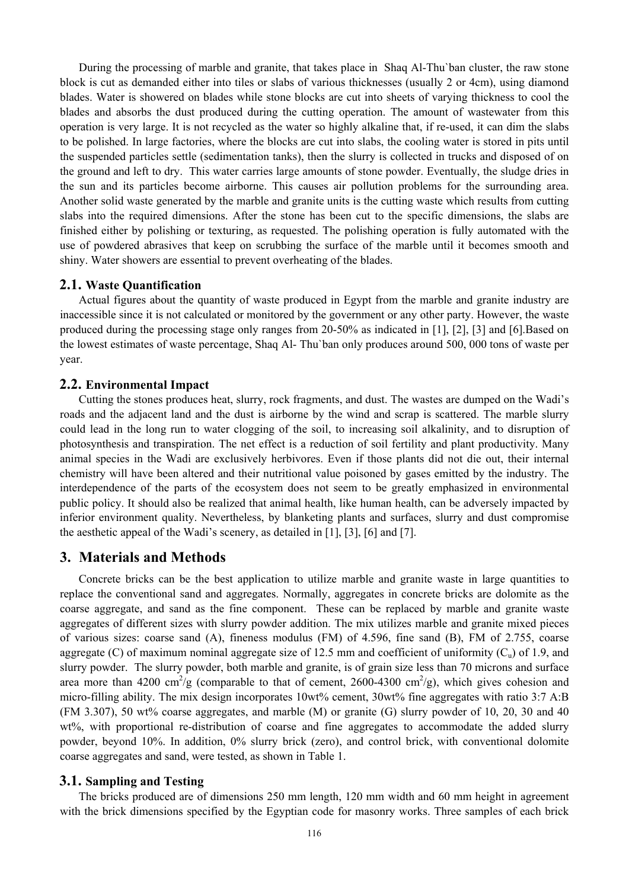During the processing of marble and granite, that takes place in Shaq Al-Thu`ban cluster, the raw stone block is cut as demanded either into tiles or slabs of various thicknesses (usually 2 or 4cm), using diamond blades. Water is showered on blades while stone blocks are cut into sheets of varying thickness to cool the blades and absorbs the dust produced during the cutting operation. The amount of wastewater from this operation is very large. It is not recycled as the water so highly alkaline that, if re-used, it can dim the slabs to be polished. In large factories, where the blocks are cut into slabs, the cooling water is stored in pits until the suspended particles settle (sedimentation tanks), then the slurry is collected in trucks and disposed of on the ground and left to dry. This water carries large amounts of stone powder. Eventually, the sludge dries in the sun and its particles become airborne. This causes air pollution problems for the surrounding area. Another solid waste generated by the marble and granite units is the cutting waste which results from cutting slabs into the required dimensions. After the stone has been cut to the specific dimensions, the slabs are finished either by polishing or texturing, as requested. The polishing operation is fully automated with the use of powdered abrasives that keep on scrubbing the surface of the marble until it becomes smooth and shiny. Water showers are essential to prevent overheating of the blades.

#### **2.1. Waste Quantification**

Actual figures about the quantity of waste produced in Egypt from the marble and granite industry are inaccessible since it is not calculated or monitored by the government or any other party. However, the waste produced during the processing stage only ranges from 20-50% as indicated in [1], [2], [3] and [6].Based on the lowest estimates of waste percentage, Shaq Al- Thu`ban only produces around 500, 000 tons of waste per year.

#### **2.2. Environmental Impact**

Cutting the stones produces heat, slurry, rock fragments, and dust. The wastes are dumped on the Wadi's roads and the adjacent land and the dust is airborne by the wind and scrap is scattered. The marble slurry could lead in the long run to water clogging of the soil, to increasing soil alkalinity, and to disruption of photosynthesis and transpiration. The net effect is a reduction of soil fertility and plant productivity. Many animal species in the Wadi are exclusively herbivores. Even if those plants did not die out, their internal chemistry will have been altered and their nutritional value poisoned by gases emitted by the industry. The interdependence of the parts of the ecosystem does not seem to be greatly emphasized in environmental public policy. It should also be realized that animal health, like human health, can be adversely impacted by inferior environment quality. Nevertheless, by blanketing plants and surfaces, slurry and dust compromise the aesthetic appeal of the Wadi's scenery, as detailed in [1], [3], [6] and [7].

## **3. Materials and Methods**

Concrete bricks can be the best application to utilize marble and granite waste in large quantities to replace the conventional sand and aggregates. Normally, aggregates in concrete bricks are dolomite as the coarse aggregate, and sand as the fine component. These can be replaced by marble and granite waste aggregates of different sizes with slurry powder addition. The mix utilizes marble and granite mixed pieces of various sizes: coarse sand (A), fineness modulus (FM) of 4.596, fine sand (B), FM of 2.755, coarse aggregate (C) of maximum nominal aggregate size of 12.5 mm and coefficient of uniformity  $(C_n)$  of 1.9, and slurry powder. The slurry powder, both marble and granite, is of grain size less than 70 microns and surface area more than 4200 cm<sup>2</sup>/g (comparable to that of cement, 2600-4300 cm<sup>2</sup>/g), which gives cohesion and micro-filling ability. The mix design incorporates 10wt% cement, 30wt% fine aggregates with ratio 3:7 A:B (FM 3.307), 50 wt% coarse aggregates, and marble (M) or granite (G) slurry powder of 10, 20, 30 and 40 wt%, with proportional re-distribution of coarse and fine aggregates to accommodate the added slurry powder, beyond 10%. In addition, 0% slurry brick (zero), and control brick, with conventional dolomite coarse aggregates and sand, were tested, as shown in Table 1.

### **3.1. Sampling and Testing**

The bricks produced are of dimensions 250 mm length, 120 mm width and 60 mm height in agreement with the brick dimensions specified by the Egyptian code for masonry works. Three samples of each brick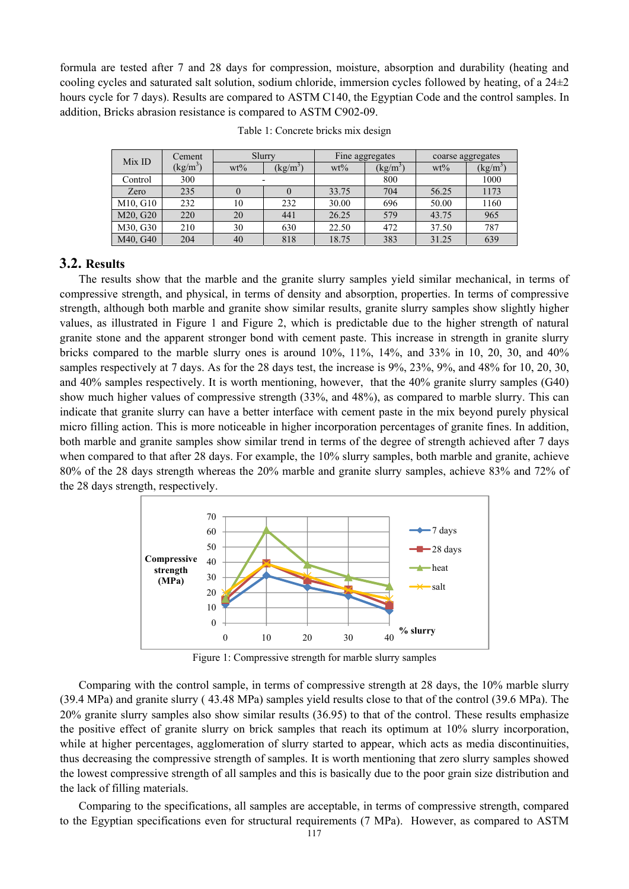formula are tested after 7 and 28 days for compression, moisture, absorption and durability (heating and cooling cycles and saturated salt solution, sodium chloride, immersion cycles followed by heating, of a 24±2 hours cycle for 7 days). Results are compared to ASTM C140, the Egyptian Code and the control samples. In addition, Bricks abrasion resistance is compared to ASTM C902-09.

| Mix ID   | Cement          | Slurry |                 | Fine aggregates |                             | coarse aggregates |       |
|----------|-----------------|--------|-----------------|-----------------|-----------------------------|-------------------|-------|
|          | $\text{kg/m}^3$ | $wt\%$ | $\text{kg/m}^3$ | $wt\%$          | $\left(\frac{kg}{m}\right)$ | $wt\%$            | (kg/m |
| Control  | 300             |        |                 |                 | 800                         |                   | 1000  |
| Zero     | 235             |        |                 | 33.75           | 704                         | 56.25             | 1173  |
| M10, G10 | 232             | 10     | 232             | 30.00           | 696                         | 50.00             | 1160  |
| M20, G20 | 220             | 20     | 441             | 26.25           | 579                         | 43.75             | 965   |
| M30, G30 | 210             | 30     | 630             | 22.50           | 472                         | 37.50             | 787   |
| M40, G40 | 204             | 40     | 818             | 18.75           | 383                         | 31.25             | 639   |

Table 1: Concrete bricks mix design

### **3.2. Results**

The results show that the marble and the granite slurry samples yield similar mechanical, in terms of compressive strength, and physical, in terms of density and absorption, properties. In terms of compressive strength, although both marble and granite show similar results, granite slurry samples show slightly higher values, as illustrated in Figure 1 and Figure 2, which is predictable due to the higher strength of natural granite stone and the apparent stronger bond with cement paste. This increase in strength in granite slurry bricks compared to the marble slurry ones is around 10%, 11%, 14%, and 33% in 10, 20, 30, and 40% samples respectively at 7 days. As for the 28 days test, the increase is 9%, 23%, 9%, and 48% for 10, 20, 30, and 40% samples respectively. It is worth mentioning, however, that the 40% granite slurry samples (G40) show much higher values of compressive strength (33%, and 48%), as compared to marble slurry. This can indicate that granite slurry can have a better interface with cement paste in the mix beyond purely physical micro filling action. This is more noticeable in higher incorporation percentages of granite fines. In addition, both marble and granite samples show similar trend in terms of the degree of strength achieved after 7 days when compared to that after 28 days. For example, the 10% slurry samples, both marble and granite, achieve 80% of the 28 days strength whereas the 20% marble and granite slurry samples, achieve 83% and 72% of the 28 days strength, respectively.



Figure 1: Compressive strength for marble slurry samples

Comparing with the control sample, in terms of compressive strength at 28 days, the 10% marble slurry (39.4 MPa) and granite slurry ( 43.48 MPa) samples yield results close to that of the control (39.6 MPa). The 20% granite slurry samples also show similar results (36.95) to that of the control. These results emphasize the positive effect of granite slurry on brick samples that reach its optimum at 10% slurry incorporation, while at higher percentages, agglomeration of slurry started to appear, which acts as media discontinuities, thus decreasing the compressive strength of samples. It is worth mentioning that zero slurry samples showed the lowest compressive strength of all samples and this is basically due to the poor grain size distribution and the lack of filling materials.

Comparing to the specifications, all samples are acceptable, in terms of compressive strength, compared to the Egyptian specifications even for structural requirements (7 MPa). However, as compared to ASTM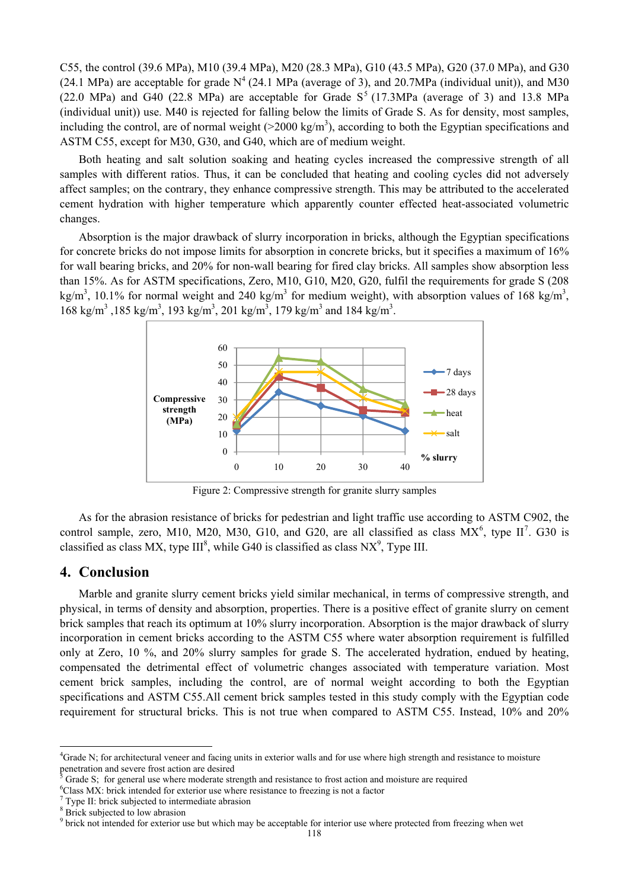C55, the control (39.6 MPa), M10 (39.4 MPa), M20 (28.3 MPa), G10 (43.5 MPa), G20 (37.0 MPa), and G30 (24.1 MPa) are acceptable for grade  $N^4$  (24.1 MPa (average of 3), and 20.7MPa (individual unit)), and M30  $(22.0 \text{ MPa})$  and G40  $(22.8 \text{ MPa})$  are acceptable for Grade S<sup>5</sup>  $(17.3 \text{ MPa})$  (average of 3) and 13.8 MPa (individual unit)) use. M40 is rejected for falling below the limits of Grade S. As for density, most samples, including the control, are of normal weight  $(>2000 \text{ kg/m}^3)$ , according to both the Egyptian specifications and ASTM C55, except for M30, G30, and G40, which are of medium weight.

Both heating and salt solution soaking and heating cycles increased the compressive strength of all samples with different ratios. Thus, it can be concluded that heating and cooling cycles did not adversely affect samples; on the contrary, they enhance compressive strength. This may be attributed to the accelerated cement hydration with higher temperature which apparently counter effected heat-associated volumetric changes.

Absorption is the major drawback of slurry incorporation in bricks, although the Egyptian specifications for concrete bricks do not impose limits for absorption in concrete bricks, but it specifies a maximum of 16% for wall bearing bricks, and 20% for non-wall bearing for fired clay bricks. All samples show absorption less than 15%. As for ASTM specifications, Zero, M10, G10, M20, G20, fulfil the requirements for grade S (208 kg/m<sup>3</sup>, 10.1% for normal weight and 240 kg/m<sup>3</sup> for medium weight), with absorption values of 168 kg/m<sup>3</sup>,  $168 \text{ kg/m}^3$ ,  $185 \text{ kg/m}^3$ ,  $193 \text{ kg/m}^3$ ,  $201 \text{ kg/m}^3$ ,  $179 \text{ kg/m}^3$  and  $184 \text{ kg/m}^3$ .



Figure 2: Compressive strength for granite slurry samples

As for the abrasion resistance of bricks for pedestrian and light traffic use according to ASTM C902, the control sample, zero, M10, M20, M30, G10, and G20, are all classified as class  $MX^6$ , type  $II^7$ . G30 is classified as class MX, type  $III^8$ , while G40 is classified as class NX<sup>9</sup>, Type III.

## **4. Conclusion**

Marble and granite slurry cement bricks yield similar mechanical, in terms of compressive strength, and physical, in terms of density and absorption, properties. There is a positive effect of granite slurry on cement brick samples that reach its optimum at 10% slurry incorporation. Absorption is the major drawback of slurry incorporation in cement bricks according to the ASTM C55 where water absorption requirement is fulfilled only at Zero, 10 %, and 20% slurry samples for grade S. The accelerated hydration, endued by heating, compensated the detrimental effect of volumetric changes associated with temperature variation. Most cement brick samples, including the control, are of normal weight according to both the Egyptian specifications and ASTM C55.All cement brick samples tested in this study comply with the Egyptian code requirement for structural bricks. This is not true when compared to ASTM C55. Instead, 10% and 20%

 $\overline{a}$ 

<sup>&</sup>lt;sup>4</sup>Grade N; for architectural veneer and facing units in exterior walls and for use where high strength and resistance to moisture penetration and severe frost action are desired

Grade S; for general use where moderate strength and resistance to frost action and moisture are required

 ${}^{6}$ Class MX: brick intended for exterior use where resistance to freezing is not a factor

 $\frac{7}{7}$  Type II: brick subjected to intermediate abrasion

<sup>&</sup>lt;sup>8</sup> Brick subjected to low abrasion

<sup>&</sup>lt;sup>9</sup> brick not intended for exterior use but which may be acceptable for interior use where protected from freezing when wet